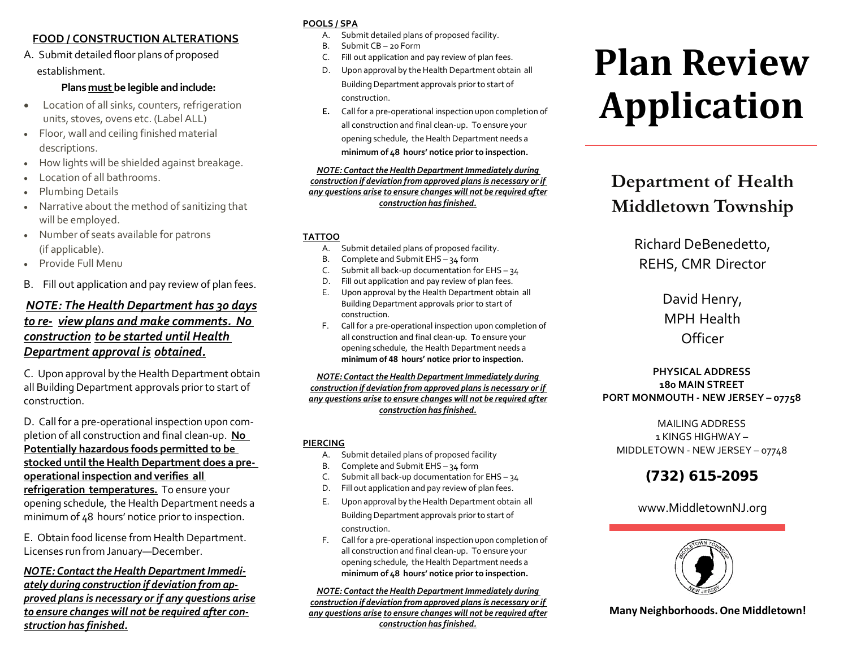#### **FOOD / CONSTRUCTION ALTERATIONS**

A. Submit detailed floor plans of proposed establishment.

#### **Plans must be legible and include:**

- Location of all sinks, counters, refrigeration units, stoves, ovens etc. (Label ALL)
- Floor, wall and ceiling finished material descriptions.
- How lights will be shielded against breakage.
- Location of all bathrooms.
- Plumbing Details
- Narrative about the method of sanitizing that will be employed.
- Number of seats available for patrons (if applicable).
- Provide Full Menu
- B. Fill out application and pay review of plan fees.

#### *NOTE: The Health Department has 30 days to re‐ view plans and make comments. No construction to be started until Health Department approval is obtained.*

C. Upon approval by the Health Department obtain all Building Department approvals priorto start of construction.

D. Call for a pre‐operational inspection upon com‐ pletion of all construction and final clean‐up. **No Potentially hazardous foods permitted to be stocked untilthe Health Department does a pre‐ operational inspection and verifies all**

**refrigeration temperatures.** To ensure your opening schedule, the Health Department needs a minimum of 48 hours' notice prior to inspection.

E. Obtain food license from Health Department. Licenses run from January—December.

*NOTE: Contact the Health Department Immediately during construction if deviation from ap‐ proved plans is necessary or if any questions arise to ensure changes will not be required after con‐ struction has finished.*

#### **POOLS / SPA**

- A. Submit detailed plans of proposed facility.
- B. Submit CB 20 Form
- C. Fill out application and pay review of plan fees.
- D. Upon approval by the Health Department obtain all Building Department approvals prior to start of construction.
- **E.** Call for a pre‐operational inspection upon completion of all construction and final clean‐up. To ensure your opening schedule, the Health Department needs a **minimum of 48 hours' notice prior to inspection.**

#### *NOTE: Contact the Health Department Immediately during construction if deviation from approved plans is necessary or if any questions arise to ensure changes will not be required after construction has finished.*

#### **TATTOO**

- A. Submit detailed plans of proposed facility.
- B. Complete and Submit EHS 34 form
- C. Submit all back-up documentation for EHS 34
- D. Fill out application and pay review of plan fees.
- E. Upon approval by the Health Department obtain all Building Department approvals prior to start of construction.
- F. Call for a pre‐operational inspection upon completion of all construction and final clean‐up. To ensure your opening schedule, the Health Department needs a **minimum of 48 hours' notice prior to inspection.**

#### *NOTE: Contact the Health Department Immediately during construction if deviation from approved plans is necessary or if any questions arise to ensure changes will not be required after construction has finished.*

#### **PIERCING**

- A. Submit detailed plans of proposed facility
- B. Complete and Submit EHS 34 form
- C. Submit all back-up documentation for EHS 34
- D. Fill out application and pay review of plan fees.
- E. Upon approval by the Health Department obtain all BuildingDepartment approvals priorto start of construction.
- F. Call for a pre‐operational inspection upon completion of all construction and final clean‐up. To ensure your opening schedule, the Health Department needs a **minimum of 48 hours' notice prior to inspection.**

#### *NOTE: Contact the Health Department Immediately during*

*construction if deviation from approved plans is necessary or if any questions arise to ensure changes will not be required after construction has finished.*

# **Plan Review Application**

## **Department of Health Middletown Township**

Richard DeBenedetto, REHS, CMR Director

> David Henry, MPH Health **Officer**

#### **PHYSICAL ADDRESS 180 MAIN STREET PORT MONMOUTH - NEW JERSEY – 07758**

MAILING ADDRESS 1 KINGS HIGHWAY – MIDDLETOWN - NEW JERSEY – 07748

### (732) 615-2095

#### www.MiddletownNJ.org



**Many Neighborhoods.One Middletown!**